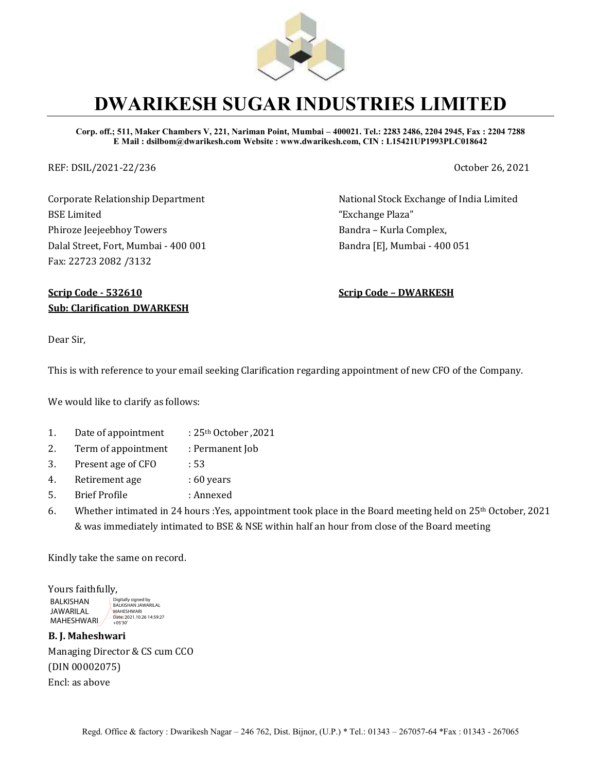

## **DWARIKESH SUGAR INDUSTRIES LIMITED**

**Corp. off.; 511, Maker Chambers V, 221, Nariman Point, Mumbai – 400021. Tel.: 2283 2486, 2204 2945, Fax : 2204 7288 E Mail : dsilbom@dwarikesh.com Website : www.dwarikesh.com, CIN : L15421UP1993PLC018642**

REF: DSIL/2021-22/236 October 26, 2021

Corporate Relationship Department BSE Limited Phiroze Jeejeebhoy Towers Dalal Street, Fort, Mumbai - 400 001 Fax: 22723 2082 /3132

National Stock Exchange of India Limited "Exchange Plaza" Bandra – Kurla Complex, Bandra [E], Mumbai - 400 051

## **Scrip Code - 532610 Scrip Code – DWARKESH Sub: Clarification\_DWARKESH**

Dear Sir,

This is with reference to your email seeking Clarification regarding appointment of new CFO of the Company.

We would like to clarify as follows:

- 1. Date of appointment  $\qquad$  : 25<sup>th</sup> October , 2021
- 2. Term of appointment : Permanent Job
- 3. Present age of CFO : 53
- 4. Retirement age : 60 years
- 5. Brief Profile : Annexed
- 6. Whether intimated in 24 hours :Yes, appointment took place in the Board meeting held on 25th October, 2021 & was immediately intimated to BSE & NSE within half an hour from close of the Board meeting

Kindly take the same on record.

Yours faithfully, BALKISHAN JAWARILAL **MAHESHWARI** Digitally signed by BALKISHAN JAWARILAL MAHESHWARI Date: 2021.10.26 14:59:27 +05'30'

**B. J. Maheshwari**  Managing Director & CS cum CCO (DIN 00002075) Encl: as above